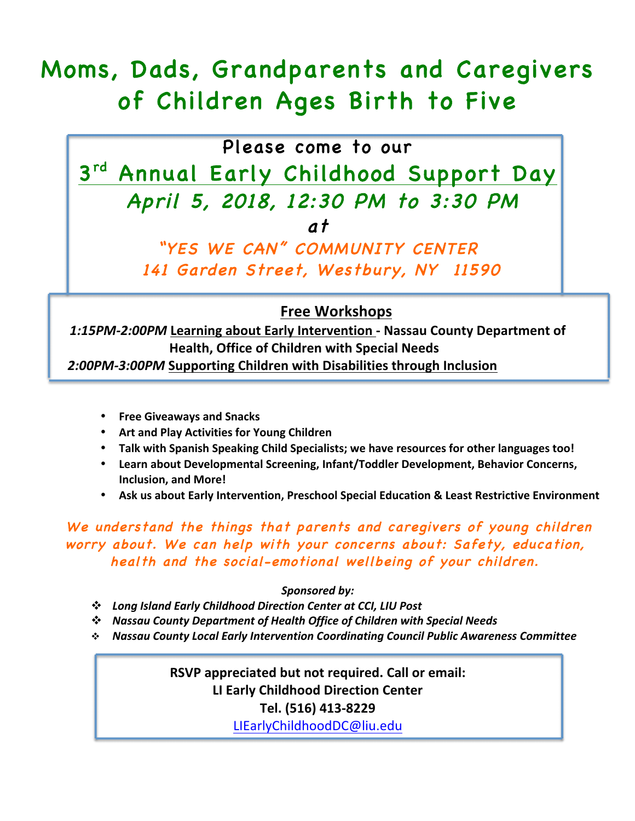# Moms, Dads, Grandparents and Caregivers of Children Ages Birth to Five

## Please come to our

3rd Annual Early Childhood Support Day April 5, 2018, 12:30 PM to 3:30 PM at

> "YES WE CAN" COMMUNITY CENTER 141 Garden Street, Westbury, NY 11590

#### j **Free Workshops**

*1:15PM-2:00PM* **Learning about Early Intervention - Nassau County Department of Health, Office of Children with Special Needs** 2:00PM-3:00PM Supporting Children with Disabilities through Inclusion

- **Free Giveaways and Snacks**
- **Art and Play Activities for Young Children**
- Talk with Spanish Speaking Child Specialists; we have resources for other languages too!
- Learn about Developmental Screening, Infant/Toddler Development, Behavior Concerns, **Inclusion, and More!**
- Ask us about Early Intervention, Preschool Special Education & Least Restrictive Environment

We understand the things that parents and caregivers of young children worry about. We can help with your concerns about: Safety, education, health and the social-emotional wellbeing of your children.

#### *Sponsored by:*

- v *Long Island Early Childhood Direction Center at CCI, LIU Post*
- $\cdot$  Nassau County Department of Health Office of Children with Special Needs
- v *Nassau County Local Early Intervention Coordinating Council Public Awareness Committee*

**RSVP** appreciated but not required. Call or email: **LI Early Childhood Direction Center Tel. (516) 413-8229** LIEarlyChildhoodDC@liu.edu